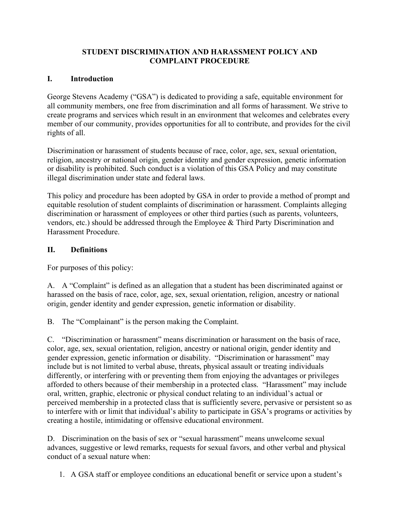### **STUDENT DISCRIMINATION AND HARASSMENT POLICY AND COMPLAINT PROCEDURE**

## **I. Introduction**

George Stevens Academy ("GSA") is dedicated to providing a safe, equitable environment for all community members, one free from discrimination and all forms of harassment. We strive to create programs and services which result in an environment that welcomes and celebrates every member of our community, provides opportunities for all to contribute, and provides for the civil rights of all.

Discrimination or harassment of students because of race, color, age, sex, sexual orientation, religion, ancestry or national origin, gender identity and gender expression, genetic information or disability is prohibited. Such conduct is a violation of this GSA Policy and may constitute illegal discrimination under state and federal laws.

This policy and procedure has been adopted by GSA in order to provide a method of prompt and equitable resolution of student complaints of discrimination or harassment. Complaints alleging discrimination or harassment of employees or other third parties (such as parents, volunteers, vendors, etc.) should be addressed through the Employee & Third Party Discrimination and Harassment Procedure.

## **II. Definitions**

For purposes of this policy:

A. A "Complaint" is defined as an allegation that a student has been discriminated against or harassed on the basis of race, color, age, sex, sexual orientation, religion, ancestry or national origin, gender identity and gender expression, genetic information or disability.

B. The "Complainant" is the person making the Complaint.

C. "Discrimination or harassment" means discrimination or harassment on the basis of race, color, age, sex, sexual orientation, religion, ancestry or national origin, gender identity and gender expression, genetic information or disability. "Discrimination or harassment" may include but is not limited to verbal abuse, threats, physical assault or treating individuals differently, or interfering with or preventing them from enjoying the advantages or privileges afforded to others because of their membership in a protected class. "Harassment" may include oral, written, graphic, electronic or physical conduct relating to an individual's actual or perceived membership in a protected class that is sufficiently severe, pervasive or persistent so as to interfere with or limit that individual's ability to participate in GSA's programs or activities by creating a hostile, intimidating or offensive educational environment.

D. Discrimination on the basis of sex or "sexual harassment" means unwelcome sexual advances, suggestive or lewd remarks, requests for sexual favors, and other verbal and physical conduct of a sexual nature when:

1. A GSA staff or employee conditions an educational benefit or service upon a student's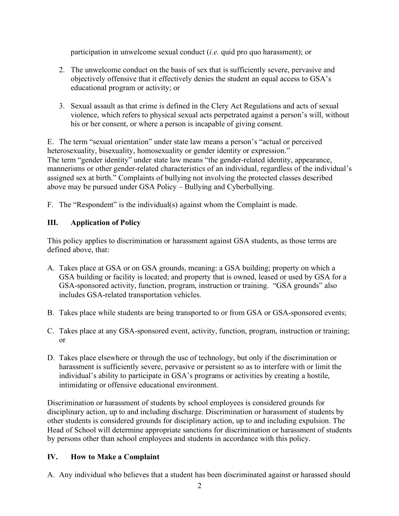participation in unwelcome sexual conduct (*i.e.* quid pro quo harassment); or

- 2. The unwelcome conduct on the basis of sex that is sufficiently severe, pervasive and objectively offensive that it effectively denies the student an equal access to GSA's educational program or activity; or
- 3. Sexual assault as that crime is defined in the Clery Act Regulations and acts of sexual violence, which refers to physical sexual acts perpetrated against a person's will, without his or her consent, or where a person is incapable of giving consent.

E. The term "sexual orientation" under state law means a person's "actual or perceived heterosexuality, bisexuality, homosexuality or gender identity or expression." The term "gender identity" under state law means "the gender-related identity, appearance, mannerisms or other gender-related characteristics of an individual, regardless of the individual's assigned sex at birth." Complaints of bullying not involving the protected classes described above may be pursued under GSA Policy – Bullying and Cyberbullying.

F. The "Respondent" is the individual(s) against whom the Complaint is made.

# **III. Application of Policy**

This policy applies to discrimination or harassment against GSA students, as those terms are defined above, that:

- A. Takes place at GSA or on GSA grounds, meaning: a GSA building; property on which a GSA building or facility is located; and property that is owned, leased or used by GSA for a GSA-sponsored activity, function, program, instruction or training. "GSA grounds" also includes GSA-related transportation vehicles.
- B. Takes place while students are being transported to or from GSA or GSA-sponsored events;
- C. Takes place at any GSA-sponsored event, activity, function, program, instruction or training; or
- D. Takes place elsewhere or through the use of technology, but only if the discrimination or harassment is sufficiently severe, pervasive or persistent so as to interfere with or limit the individual's ability to participate in GSA's programs or activities by creating a hostile, intimidating or offensive educational environment.

Discrimination or harassment of students by school employees is considered grounds for disciplinary action, up to and including discharge. Discrimination or harassment of students by other students is considered grounds for disciplinary action, up to and including expulsion. The Head of School will determine appropriate sanctions for discrimination or harassment of students by persons other than school employees and students in accordance with this policy.

# **IV. How to Make a Complaint**

A. Any individual who believes that a student has been discriminated against or harassed should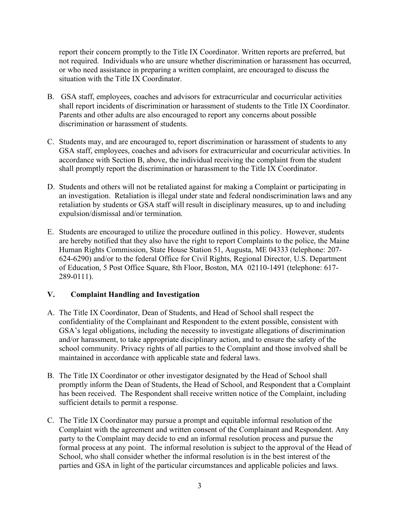report their concern promptly to the Title IX Coordinator. Written reports are preferred, but not required. Individuals who are unsure whether discrimination or harassment has occurred, or who need assistance in preparing a written complaint, are encouraged to discuss the situation with the Title IX Coordinator.

- B. GSA staff, employees, coaches and advisors for extracurricular and cocurricular activities shall report incidents of discrimination or harassment of students to the Title IX Coordinator. Parents and other adults are also encouraged to report any concerns about possible discrimination or harassment of students.
- C. Students may, and are encouraged to, report discrimination or harassment of students to any GSA staff, employees, coaches and advisors for extracurricular and cocurricular activities. In accordance with Section B, above, the individual receiving the complaint from the student shall promptly report the discrimination or harassment to the Title IX Coordinator.
- D. Students and others will not be retaliated against for making a Complaint or participating in an investigation. Retaliation is illegal under state and federal nondiscrimination laws and any retaliation by students or GSA staff will result in disciplinary measures, up to and including expulsion/dismissal and/or termination.
- E. Students are encouraged to utilize the procedure outlined in this policy. However, students are hereby notified that they also have the right to report Complaints to the police, the Maine Human Rights Commission, State House Station 51, Augusta, ME 04333 (telephone: 207- 624-6290) and/or to the federal Office for Civil Rights, Regional Director, U.S. Department of Education, 5 Post Office Square, 8th Floor, Boston, MA 02110-1491 (telephone: 617- 289-0111).

## **V. Complaint Handling and Investigation**

- A. The Title IX Coordinator, Dean of Students, and Head of School shall respect the confidentiality of the Complainant and Respondent to the extent possible, consistent with GSA's legal obligations, including the necessity to investigate allegations of discrimination and/or harassment, to take appropriate disciplinary action, and to ensure the safety of the school community. Privacy rights of all parties to the Complaint and those involved shall be maintained in accordance with applicable state and federal laws.
- B. The Title IX Coordinator or other investigator designated by the Head of School shall promptly inform the Dean of Students, the Head of School, and Respondent that a Complaint has been received. The Respondent shall receive written notice of the Complaint, including sufficient details to permit a response.
- C. The Title IX Coordinator may pursue a prompt and equitable informal resolution of the Complaint with the agreement and written consent of the Complainant and Respondent. Any party to the Complaint may decide to end an informal resolution process and pursue the formal process at any point. The informal resolution is subject to the approval of the Head of School, who shall consider whether the informal resolution is in the best interest of the parties and GSA in light of the particular circumstances and applicable policies and laws.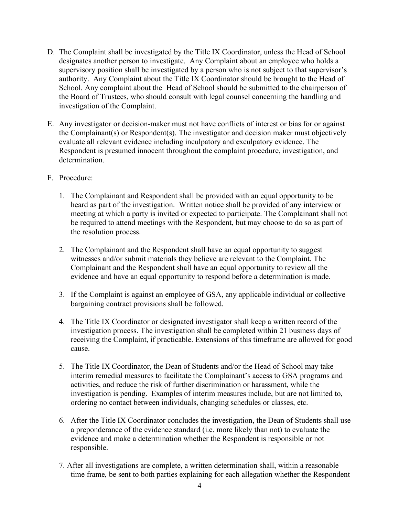- D. The Complaint shall be investigated by the Title IX Coordinator, unless the Head of School designates another person to investigate. Any Complaint about an employee who holds a supervisory position shall be investigated by a person who is not subject to that supervisor's authority. Any Complaint about the Title IX Coordinator should be brought to the Head of School. Any complaint about the Head of School should be submitted to the chairperson of the Board of Trustees, who should consult with legal counsel concerning the handling and investigation of the Complaint.
- E. Any investigator or decision-maker must not have conflicts of interest or bias for or against the Complainant(s) or Respondent(s). The investigator and decision maker must objectively evaluate all relevant evidence including inculpatory and exculpatory evidence. The Respondent is presumed innocent throughout the complaint procedure, investigation, and determination.
- F. Procedure:
	- 1. The Complainant and Respondent shall be provided with an equal opportunity to be heard as part of the investigation. Written notice shall be provided of any interview or meeting at which a party is invited or expected to participate. The Complainant shall not be required to attend meetings with the Respondent, but may choose to do so as part of the resolution process.
	- 2. The Complainant and the Respondent shall have an equal opportunity to suggest witnesses and/or submit materials they believe are relevant to the Complaint. The Complainant and the Respondent shall have an equal opportunity to review all the evidence and have an equal opportunity to respond before a determination is made.
	- 3. If the Complaint is against an employee of GSA, any applicable individual or collective bargaining contract provisions shall be followed.
	- 4. The Title IX Coordinator or designated investigator shall keep a written record of the investigation process. The investigation shall be completed within 21 business days of receiving the Complaint, if practicable. Extensions of this timeframe are allowed for good cause.
	- 5. The Title IX Coordinator, the Dean of Students and/or the Head of School may take interim remedial measures to facilitate the Complainant's access to GSA programs and activities, and reduce the risk of further discrimination or harassment, while the investigation is pending. Examples of interim measures include, but are not limited to, ordering no contact between individuals, changing schedules or classes, etc.
	- 6. After the Title IX Coordinator concludes the investigation, the Dean of Students shall use a preponderance of the evidence standard (i.e. more likely than not) to evaluate the evidence and make a determination whether the Respondent is responsible or not responsible.
	- 7. After all investigations are complete, a written determination shall, within a reasonable time frame, be sent to both parties explaining for each allegation whether the Respondent